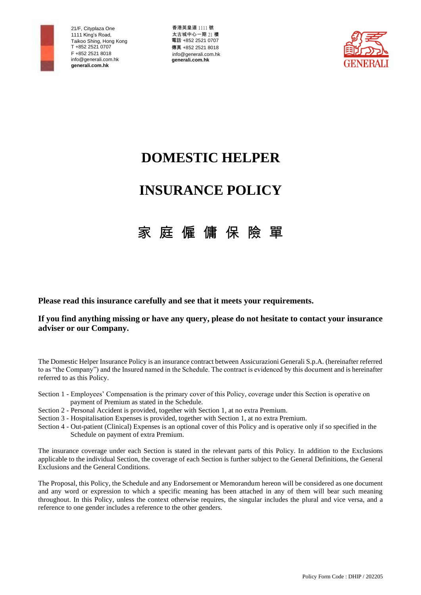

香港英皇道 1111 號 太古城中心一期 21 樓 電話 +852 2521 0707 傳真 +852 2521 8018 [info@generali.com.hk](mailto:info@generali.com.hk) **generali.com.hk**



# **DOMESTIC HELPER**

# **INSURANCE POLICY**

# 家 庭 僱 傭 保 險 單

**Please read this insurance carefully and see that it meets your requirements.**

# **If you find anything missing or have any query, please do not hesitate to contact your insurance adviser or our Company.**

The Domestic Helper Insurance Policy is an insurance contract between Assicurazioni Generali S.p.A. (hereinafter referred to as "the Company") and the Insured named in the Schedule. The contract is evidenced by this document and is hereinafter referred to as this Policy.

- Section 1 Employees' Compensation is the primary cover of this Policy, coverage under this Section is operative on payment of Premium as stated in the Schedule.
- Section 2 Personal Accident is provided, together with Section 1, at no extra Premium.
- Section 3 Hospitalisation Expenses is provided, together with Section 1, at no extra Premium.
- Section 4 Out-patient (Clinical) Expenses is an optional cover of this Policy and is operative only if so specified in the Schedule on payment of extra Premium.

The insurance coverage under each Section is stated in the relevant parts of this Policy. In addition to the Exclusions applicable to the individual Section, the coverage of each Section is further subject to the General Definitions, the General Exclusions and the General Conditions.

The Proposal, this Policy, the Schedule and any Endorsement or Memorandum hereon will be considered as one document and any word or expression to which a specific meaning has been attached in any of them will bear such meaning throughout. In this Policy, unless the context otherwise requires, the singular includes the plural and vice versa, and a reference to one gender includes a reference to the other genders.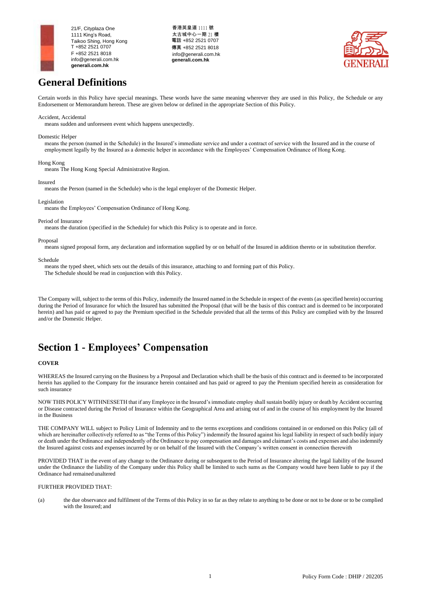

香港英皇道 1111 號 太古城中心一期 21 樓 電話 +852 2521 0707 傳真 +852 2521 8018 [info@generali.com.hk](mailto:info@generali.com.hk) **generali.com.hk**



# **General Definitions**

Certain words in this Policy have special meanings. These words have the same meaning wherever they are used in this Policy, the Schedule or any Endorsement or Memorandum hereon. These are given below or defined in the appropriate Section of this Policy.

## Accident, Accidental

means sudden and unforeseen event which happens unexpectedly.

#### Domestic Helper

means the person (named in the Schedule) in the Insured's immediate service and under a contract of service with the Insured and in the course of employment legally by the Insured as a domestic helper in accordance with the Employees' Compensation Ordinance of Hong Kong.

#### Hong Kong

means The Hong Kong Special Administrative Region.

#### Insured

means the Person (named in the Schedule) who is the legal employer of the Domestic Helper.

#### Legislation

means the Employees' Compensation Ordinance of Hong Kong.

#### Period of Insurance

means the duration (specified in the Schedule) for which this Policy is to operate and in force.

#### Proposal

means signed proposal form, any declaration and information supplied by or on behalf of the Insured in addition thereto or in substitution therefor.

#### Schedule

means the typed sheet, which sets out the details of this insurance, attaching to and forming part of this Policy.

The Schedule should be read in conjunction with this Policy.

The Company will, subject to the terms of this Policy, indemnify the Insured named in the Schedule in respect of the events (as specified herein) occurring during the Period of Insurance for which the Insured has submitted the Proposal (that will be the basis of this contract and is deemed to be incorporated herein) and has paid or agreed to pay the Premium specified in the Schedule provided that all the terms of this Policy are complied with by the Insured and/or the Domestic Helper.

# **Section 1 - Employees' Compensation**

## **COVER**

WHEREAS the Insured carrying on the Business by a Proposal and Declaration which shall be the basis of this contract and is deemed to be incorporated herein has applied to the Company for the insurance herein contained and has paid or agreed to pay the Premium specified herein as consideration for such insurance

NOW THIS POLICY WITHNESSETH that if any Employee in the Insured's immediate employ shall sustain bodily injury or death by Accident occurring or Disease contracted during the Period of Insurance within the Geographical Area and arising out of and in the course of his employment by the Insured in the Business

THE COMPANY WILL subject to Policy Limit of Indemnity and to the terms exceptions and conditions contained in or endorsed on this Policy (all of which are hereinafter collectively referred to as "the Terms of this Policy") indemnify the Insured against his legal liability in respect of such bodily injury or death under the Ordinance and independently of the Ordinance to pay compensation and damages and claimant's costs and expenses and also indemnify the Insured against costs and expenses incurred by or on behalf of the Insured with the Company's written consent in connection therewith

PROVIDED THAT in the event of any change to the Ordinance during or subsequent to the Period of Insurance altering the legal liability of the Insured under the Ordinance the liability of the Company under this Policy shall be limited to such sums as the Company would have been liable to pay if the Ordinance had remained unaltered

## FURTHER PROVIDED THAT:

(a) the due observance and fulfilment of the Terms of this Policy in so far as they relate to anything to be done or not to be done or to be complied with the Insured; and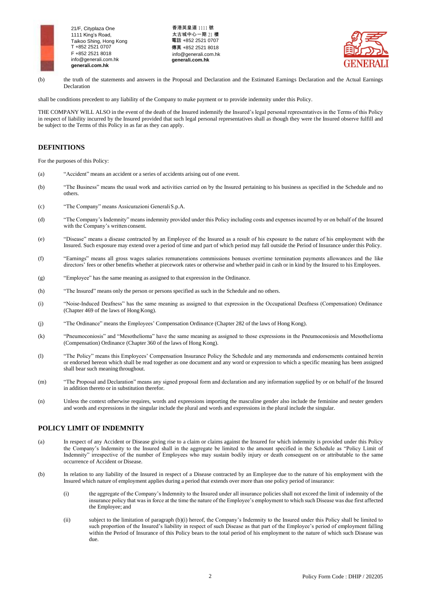

香港英皇道 1111 號 太古城中心一期 21 樓 電話 +852 2521 0707 傳真 +852 2521 8018 [info@generali.com.hk](mailto:info@generali.com.hk) **generali.com.hk**



(b) the truth of the statements and answers in the Proposal and Declaration and the Estimated Earnings Declaration and the Actual Earnings Declaration

shall be conditions precedent to any liability of the Company to make payment or to provide indemnity under this Policy.

THE COMPANY WILL ALSO in the event of the death of the Insured indemnify the Insured's legal personal representatives in the Terms of this Policy in respect of liability incurred by the Insured provided that such legal personal representatives shall as though they were the Insured observe fulfill and be subject to the Terms of this Policy in as far as they can apply.

# **DEFINITIONS**

For the purposes of this Policy:

- (a) "Accident" means an accident or a series of accidents arising out of one event.
- (b) "The Business" means the usual work and activities carried on by the Insured pertaining to his business as specified in the Schedule and no others.
- (c) "The Company" means Assicurazioni GeneraliS.p.A.
- (d) "The Company's Indemnity" means indemnity provided under this Policy including costs and expenses incurred by or on behalf of the Insured with the Company's written consent.
- (e) "Disease" means a disease contracted by an Employee of the Insured as a result of his exposure to the nature of his employment with the Insured. Such exposure may extend over a period of time and part of which period may fall outside the Period of Insurance under this Policy.
- (f) "Earnings" means all gross wages salaries remunerations commissions bonuses overtime termination payments allowances and the like directors' fees or other benefits whether at piecework rates or otherwise and whether paid in cash or in kind by the Insured to his Employees.
- (g) "Employee" has the same meaning as assigned to that expression in the Ordinance.
- (h) "The Insured" means only the person or persons specified as such in the Schedule and no others.
- (i) "Noise-Induced Deafness" has the same meaning as assigned to that expression in the Occupational Deafness (Compensation) Ordinance (Chapter 469 of the laws of Hong Kong).
- (j) "The Ordinance" means the Employees' Compensation Ordinance (Chapter 282 of the laws of Hong Kong).
- (k) "Pneumoconiosis" and "Mesothelioma" have the same meaning as assigned to those expressions in the Pneumoconiosis and Mesothelioma (Compensation) Ordinance (Chapter 360 of the laws of Hong Kong).
- (l) "The Policy" means this Employees' Compensation Insurance Policy the Schedule and any memoranda and endorsements contained herein or endorsed hereon which shall be read together as one document and any word or expression to which a specific meaning has been assigned shall bear such meaning throughout.
- (m) "The Proposal and Declaration" means any signed proposal form and declaration and any information supplied by or on behalf of the Insured in addition thereto or in substitution therefor.
- (n) Unless the context otherwise requires, words and expressions importing the masculine gender also include the feminine and neuter genders and words and expressions in the singular include the plural and words and expressions in the plural include the singular.

# **POLICY LIMIT OF INDEMNITY**

- (a) In respect of any Accident or Disease giving rise to a claim or claims against the Insured for which indemnity is provided under this Policy the Company's Indemnity to the Insured shall in the aggregate be limited to the amount specified in the Schedule as "Policy Limit of Indemnity" irrespective of the number of Employees who may sustain bodily injury or death consequent on or attributable to the same occurrence of Accident or Disease.
- (b) In relation to any liability of the Insured in respect of a Disease contracted by an Employee due to the nature of his employment with the Insured which nature of employment applies during a period that extends over more than one policy period of insurance:
	- (i) the aggregate of the Company's Indemnity to the Insured under all insurance policies shall not exceed the limit of indemnity of the insurance policy that was in force at the time the nature of the Employee's employment to which such Disease was due first affected the Employee; and
	- (ii) subject to the limitation of paragraph (b)(i) hereof, the Company's Indemnity to the Insured under this Policy shall be limited to such proportion of the Insured's liability in respect of such Disease as that part of the Employee's period of employment falling within the Period of Insurance of this Policy bears to the total period of his employment to the nature of which such Disease was due.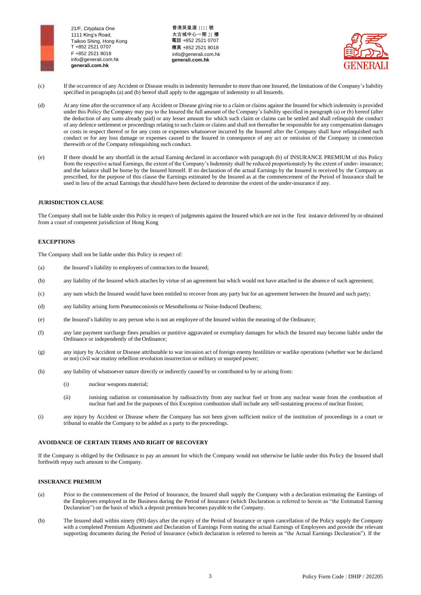香港英皇道 1111 號 太古城中心一期 21 樓 電話 +852 2521 0707 傳真 +852 2521 8018 [info@generali.com.hk](mailto:info@generali.com.hk) **generali.com.hk**



- (c) If the occurrence of any Accident or Disease results in indemnity hereunder to more than one Insured, the limitations of the Company's liability specified in paragraphs (a) and (b) hereof shall apply to the aggregate of indemnity to all Insureds.
- (d) At any time after the occurrence of any Accident or Disease giving rise to a claim or claims against the Insured for which indemnity is provided under this Policy the Company may pay to the Insured the full amount of the Company's liability specified in paragraph (a) or (b) hereof (after the deduction of any sums already paid) or any lesser amount for which such claim or claims can be settled and shall relinquish the conduct of any defence settlement or proceedings relating to such claim or claims and shall not thereafter be responsible for any compensation damages or costs in respect thereof or for any costs or expenses whatsoever incurred by the Insured after the Company shall have relinquished such conduct or for any loss damage or expenses caused to the Insured in consequence of any act or omission of the Company in connection therewith or of the Company relinquishing such conduct.
- (e) If there should be any shortfall in the actual Earning declared in accordance with paragraph (b) of INSURANCE PREMIUM of this Policy from the respective actual Earnings, the extent of the Company's Indemnity shall be reduced proportionately by the extent of under- insurance; and the balance shall be borne by the Insured himself. If no declaration of the actual Earnings by the Insured is received by the Company as prescribed, for the purpose of this clause the Earnings estimated by the Insured as at the commencement of the Period of Insurance shall be used in lieu of the actual Earnings that should have been declared to determine the extent of the under-insurance if any.

# **JURISDICTION CLAUSE**

The Company shall not be liable under this Policy in respect of judgments against the Insured which are not in the first instance delivered by or obtained from a court of competent jurisdiction of Hong Kong

# **EXCEPTIONS**

The Company shall not be liable under this Policy in respect of:

- (a) the Insured's liability to employees of contractors to the Insured;
- (b) any liability of the Insured which attaches by virtue of an agreement but which would not have attached in the absence of such agreement;
- (c) any sum which the Insured would have been entitled to recover from any party but for an agreement between the Insured and such party;
- (d) any liability arising form Pneumoconiosis or Mesothelioma or Noise-Induced Deafness;
- (e) the Insured's liability to any person who is not an employee of the Insured within the meaning of the Ordinance;
- (f) any late payment surcharge fines penalties or punitive aggravated or exemplary damages for which the Insured may become liable under the Ordinance or independently of theOrdinance;
- (g) any injury by Accident or Disease attributable to war invasion act of foreign enemy hostilities or warlike operations (whether war be declared or not) civil war mutiny rebellion revolution insurrection or military or usurped power;
- (h) any liability of whatsoever nature directly or indirectly caused by or contributed to by or arising from:
	- (i) nuclear weapons material;
	- (ii) ionising radiation or contamination by radioactivity from any nuclear fuel or from any nuclear waste from the combustion of nuclear fuel and for the purposes of this Exception combustion shall include any self-sustaining process of nuclear fission;
- (i) any injury by Accident or Disease where the Company has not been given sufficient notice of the institution of proceedings in a court or tribunal to enable the Company to be added as a party to the proceedings.

# **AVOIDANCE OF CERTAIN TERMS AND RIGHT OF RECOVERY**

If the Company is obliged by the Ordinance to pay an amount for which the Company would not otherwise be liable under this Policy the Insured shall forthwith repay such amount to the Company.

## **INSURANCE PREMIUM**

- (a) Prior to the commencement of the Period of Insurance, the Insured shall supply the Company with a declaration estimating the Earnings of the Employees employed in the Business during the Period of Insurance (which Declaration is referred to herein as "the Estimated Earning Declaration") on the basis of which a deposit premium becomes payable to the Company.
- (b) The Insured shall within ninety (90) days after the expiry of the Period of Insurance or upon cancellation of the Policy supply the Company with a completed Premium Adjustment and Declaration of Earnings Form stating the actual Earnings of Employees and provide the relevant supporting documents during the Period of Insurance (which declaration is referred to herein as "the Actual Earnings Declaration"). If the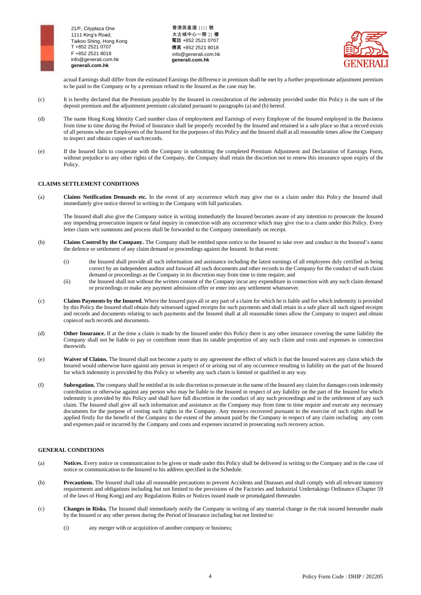

香港英皇道 1111 號 太古城中心一期 21 樓 電話 +852 2521 0707 傳真 +852 2521 8018 [info@generali.com.hk](mailto:info@generali.com.hk) **generali.com.hk**



actual Earnings shall differ from the estimated Earnings the difference in premium shall be met by a further proportionate adjustment premium to be paid to the Company or by a premium refund to the Insured as the case may be.

- (c) It is hereby declared that the Premium payable by the Insured in consideration of the indemnity provided under this Policy is the sum of the deposit premium and the adjustment premium calculated pursuant to paragraphs (a) and (b) hereof.
- (d) The name Hong Kong Identity Card number class of employment and Earnings of every Employee of the Insured employed in the Business from time to time during the Period of Insurance shall be properly recorded by the Insured and retained in a safe place so that a record exists of all persons who are Employees of the Insured for the purposes of this Policy and the Insured shall at all reasonable times allow the Company to inspect and obtain copies of suchrecords.
- (e) If the Insured fails to cooperate with the Company in submitting the completed Premium Adjustment and Declaration of Earnings Form, without prejudice to any other rights of the Company, the Company shall retain the discretion not to renew this insurance upon expiry of the Policy.

# **CLAIMS SETTLEMENT CONDITIONS**

(a) **Claims Notification Demands etc.** In the event of any occurrence which may give rise to a claim under this Policy the Insured shall immediately give notice thereof in writing to the Company with full particulars.

The Insured shall also give the Company notice in writing immediately the Insured becomes aware of any intention to prosecute the Insured any impending prosecution inquest or fatal inquiry in connection with any occurrence which may give rise to a claim under this Policy. Every letter claim writ summons and process shall be forwarded to the Company immediately on receipt.

- (b) **Claims Control by the Company.** The Company shall be entitled upon notice to the Insured to take over and conduct in the Insured's name the defence or settlement of any claim demand or proceedings against the Insured. In that event:
	- (i) the Insured shall provide all such information and assistance including the latest earnings of all employees duly certified as being correct by an independent auditor and forward all such documents and other records to the Company for the conduct of such claim demand or proceedings as the Company in its discretion may from time to time require; and
	- (ii) the Insured shall not without the written consent of the Company incur any expenditure in connection with any such claim demand or proceedings or make any payment admission offer or enter into any settlement whatsoever.
- (c) **Claims Payments by the Insured.** Where the Insured pays all or any part of a claim for which he is liable and for which indemnity is provided by this Policy the Insured shall obtain duly witnessed signed receipts for such payments and shall retain in a safe place all such signed receipts and records and documents relating to such payments and the Insured shall at all reasonable times allow the Company to inspect and obtain copiesof such records and documents.
- (d) **Other Insurance.** If at the time a claim is made by the Insured under this Policy there is any other insurance covering the same liability the Company shall not be liable to pay or contribute more than its ratable proportion of any such claim and costs and expenses in connection therewith.
- (e) **Waiver of Claims.** The Insured shall not become a party to any agreement the effect of which is that the Insured waives any claim which the Insured would otherwise have against any person in respect of or arising out of any occurrence resulting in liability on the part of the Insured for which indemnity is provided by this Policy or whereby any such claim is limited or qualified in any way.
- (f) **Subrogation.** The company shall be entitled at its sole discretion to prosecute in the name of the Insured any claim for damages costs indemnity contribution or otherwise against any person who may be liable to the Insured in respect of any liability on the part of the Insured for which indemnity is provided by this Policy and shall have full discretion in the conduct of any such proceedings and in the settlement of any such claim. The Insured shall give all such information and assistance as the Company may from time to time require and execute any necessary documents for the purpose of vesting such rights in the Company. Any moneys recovered pursuant to the exercise of such rights shall be applied firstly for the benefit of the Company to the extent of the amount paid by the Company in respect of any claim including any costs and expenses paid or incurred by the Company and costs and expenses incurred in prosecuting such recovery action.

## **GENERAL CONDITIONS**

- (a) **Notices.** Every notice or communication to be given or made under this Policy shall be delivered in writing to the Company and in the case of notice or communication to the Insured to his address specified in the Schedule.
- (b) **Precautions.** The Insured shall take all reasonable precautions to prevent Accidents and Diseases and shall comply with all relevant statutory requirements and obligations including but not limited to the provisions of the Factories and Industrial Undertakings Ordinance (Chapter 59 of the laws of Hong Kong) and any Regulations Rules or Notices issued made or promulgated thereunder.
- (c) **Changes in Risks.** The Insured shall immediately notify the Company in writing of any material change in the risk insured hereunder made by the Insured or any other person during the Period of Insurance including but not limited to:
	- (i) any merger with or acquisition of another company or business;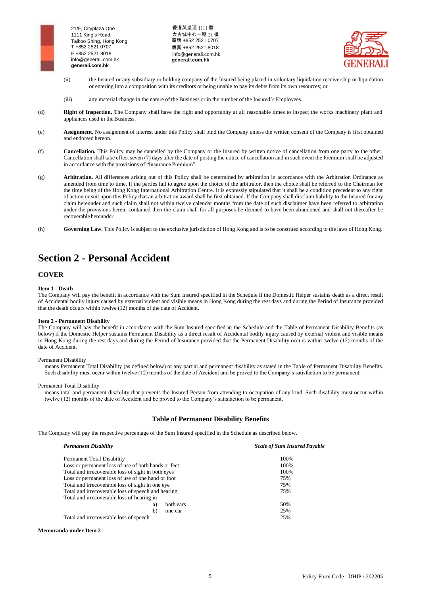

香港英皇道 1111 號 太古城中心一期 21 樓 電話 +852 2521 0707 傳真 +852 2521 8018 [info@generali.com.hk](mailto:info@generali.com.hk) **generali.com.hk**



- (ii) the Insured or any subsidiary or holding company of the Insured being placed in voluntary liquidation receivership or liquidation or entering into a composition with its creditors or being unable to pay its debts from its own resources; or
- (iii) any material change in the nature of the Business or in the number of the Insured's Employees.
- (d) **Right of Inspection.** The Company shall have the right and opportunity at all reasonable times to inspect the works machinery plant and appliances used in the Business.
- (e) **Assignment.** No assignment of interest under this Policy shall bind the Company unless the written consent of the Company is first obtained and endorsed hereon.
- (f) **Cancellation.** This Policy may be cancelled by the Company or the Insured by written notice of cancellation from one party to the other. Cancellation shall take effect seven (7) days after the date of posting the notice of cancellation and in such event the Premium shall be adjusted in accordance with the provisions of "Insurance Premium".
- (g) **Arbitration.** All differences arising out of this Policy shall be determined by arbitration in accordance with the Arbitration Ordinance as amended from time to time. If the parties fail to agree upon the choice of the arbitrator, then the choice shall be referred to the Chairman for the time being of the Hong Kong International Arbitration Centre. It is expressly stipulated that it shall be a condition precedent to any right of action or suit upon this Policy that an arbitration award shall be first obtained. If the Company shall disclaim liability to the Insured for any claim hereunder and such claim shall not within twelve calendar months from the date of such disclaimer have been referred to arbitration under the provisions herein contained then the claim shall for all purposes be deemed to have been abandoned and shall not thereafter be recoverable hereunder.
- (h) **Governing Law.** This Policy is subject to the exclusive jurisdiction of Hong Kong and is to be construed according to the laws of Hong Kong.

# **Section 2 - Personal Accident**

# **COVER**

## **Item 1 - Death**

The Company will pay the benefit in accordance with the Sum Insured specified in the Schedule if the Domestic Helper sustains death as a direct result of Accidental bodily injury caused by external violent and visible means in Hong Kong during the rest days and during the Period of Insurance provided that the death occurs within twelve (12) months of the date of Accident.

## **Item 2 - Permanent Disability**

The Company will pay the benefit in accordance with the Sum Insured specified in the Schedule and the Table of Permanent Disability Benefits (as below) if the Domestic Helper sustains Permanent Disability as a direct result of Accidental bodily injury caused by external violent and visible means in Hong Kong during the rest days and during the Period of Insurance provided that the Permanent Disability occurs within twelve (12) months of the date of Accident.

#### Permanent Disability

means Permanent Total Disability (as defined below) or any partial and permanent disability as stated in the Table of Permanent Disability Benefits. Such disability must occur within twelve (12) months of the date of Accident and be proved to the Company's satisfaction to be permanent.

#### Permanent Total Disability

means total and permanent disability that prevents the Insured Person from attending to occupation of any kind. Such disability must occur within twelve (12) months of the date of Accident and be proved to the Company's satisfaction to be permanent.

# **Table of Permanent Disability Benefits**

The Company will pay the respective percentage of the Sum Insured specified in the Schedule as described below.

| <b>Permanent Disability</b>                         | <b>Scale of Sum Insured Payable</b> |
|-----------------------------------------------------|-------------------------------------|
| Permanent Total Disability                          | 100%                                |
| Loss or permanent loss of use of both hands or feet | 100%                                |
| Total and irrecoverable loss of sight in both eyes  | 100%                                |
| Loss or permanent loss of use of one hand or foot   | 75%                                 |
| Total and irrecoverable loss of sight in one eye    | 75%                                 |
| Total and irrecoverable loss of speech and hearing  | 75%                                 |
| Total and irrecoverable loss of hearing in          |                                     |
| both ears<br>a)                                     | 50%                                 |
| b)<br>one ear                                       | 25%                                 |
| Total and irrecoverable loss of speech              | 25%                                 |

**Memoranda under Item 2**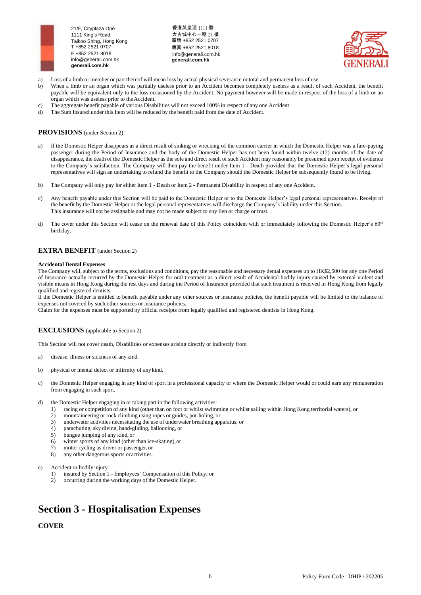

香港英皇道 1111 號 太古城中心一期 21 樓 電話 +852 2521 0707 傳真 +852 2521 8018 [info@generali.com.hk](mailto:info@generali.com.hk) **generali.com.hk**



- a) Loss of a limb or member or part thereof will mean loss by actual physical severance or total and permanent loss of use.
- b) When a limb or an organ which was partially useless prior to an Accident becomes completely useless as a result of such Accident, the benefit payable will be equivalent only to the loss occasioned by the Accident. No payment however will be made in respect of the loss of a limb or an organ which was useless prior to theAccident.
- c) The aggregate benefit payable of various Disabilities will not exceed 100% in respect of any one Accident.
- d) The Sum Insured under this Item will be reduced by the benefit paid from the date of Accident.

# **PROVISIONS** (under Section 2)

- a) If the Domestic Helper disappears as a direct result of sinking or wrecking of the common carrier in which the Domestic Helper was a fare-paying passenger during the Period of Insurance and the body of the Domestic Helper has not been found within twelve (12) months of the date of disappearance, the death of the Domestic Helper as the sole and direct result of such Accident may reasonably be presumed upon receipt of evidence to the Company's satisfaction. The Company will then pay the benefit under Item 1 - Death provided that the Domestic Helper's legal personal representatives will sign an undertaking to refund the benefit to the Company should the Domestic Helper be subsequently found to be living.
- b) The Company will only pay for either Item 1 Death or Item 2 Permanent Disability in respect of any one Accident.
- c) Any benefit payable under this Section will be paid to the Domestic Helper or to the Domestic Helper's legal personal representatives. Receipt of the benefit by the Domestic Helper or the legal personal representatives will discharge the Company's liability under this Section. This insurance will not be assignable and may not be made subject to any lien or charge or trust.
- d) The cover under this Section will cease on the renewal date of this Policy coincident with or immediately following the Domestic Helper's  $60<sup>th</sup>$ birthday.

# **EXTRA BENEFIT** (under Section 2)

#### **Accidental Dental Expenses**

The Company will, subject to the terms, exclusions and conditions, pay the reasonable and necessary dental expenses up to HK\$2,500 for any one Period of Insurance actually incurred by the Domestic Helper for oral treatment as a direct result of Accidental bodily injury caused by external violent and visible means in Hong Kong during the rest days and during the Period of Insurance provided that such treatment is received in Hong Kong from legally qualified and registered dentists.

If the Domestic Helper is entitled to benefit payable under any other sources or insurance policies, the benefit payable will be limited to the balance of expenses not covered by such other sources or insurance policies.

Claim for the expenses must be supported by official receipts from legally qualified and registered dentists in Hong Kong.

# **EXCLUSIONS** (applicable to Section 2)

This Section will not cover death, Disabilities or expenses arising directly or indirectly from

- a) disease, illness or sickness of any kind.
- b) physical or mental defect or infirmity of anykind.
- c) the Domestic Helper engaging in any kind of sport in a professional capacity or where the Domestic Helper would or could earn any remuneration from engaging in such sport.
- d) the Domestic Helper engaging in or taking part in the following activities:
	- 1) racing or competition of any kind (other than on foot or whilst swimming or whilst sailing within Hong Kong territorial waters), or
	- 2) mountaineering or rock climbing using ropes or guides, pot-holing, or
	- 3) underwater activities necessitating the use of underwater breathing apparatus, or 4) parachuting, sky diving, hand-gliding, ballooning, or
	- parachuting, sky diving, hand-gliding, ballooning, or
	- 5) bungee jumping of any kind, or
	- 6) winter sports of any kind (other than ice-skating),or
	- 7) motor cycling as driver or passenger, or<br>8) any other dangerous sports or activities
	- any other dangerous sports or activities.
- e) Accident or bodily injury
	- 1) insured by Section 1 Employees' Compensation of this Policy; or
	- 2) occurring during the working days of the Domestic Helper.

# **Section 3 - Hospitalisation Expenses**

**COVER**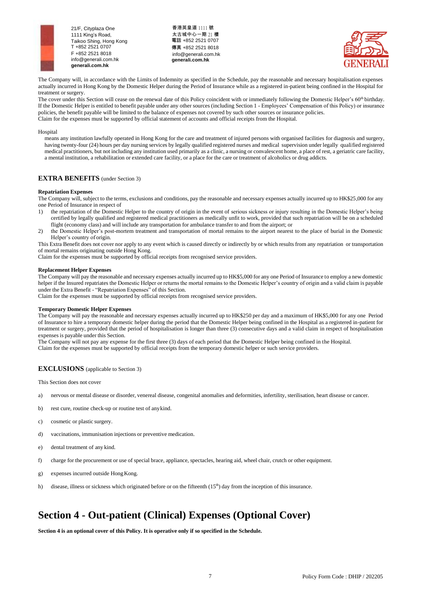





The Company will, in accordance with the Limits of Indemnity as specified in the Schedule, pay the reasonable and necessary hospitalisation expenses actually incurred in Hong Kong by the Domestic Helper during the Period of Insurance while as a registered in-patient being confined in the Hospital for treatment or surgery.

The cover under this Section will cease on the renewal date of this Policy coincident with or immediately following the Domestic Helper's  $60<sup>th</sup>$  birthday. If the Domestic Helper is entitled to benefit payable under any other sources (including Section 1 - Employees' Compensation of this Policy) or insurance policies, the benefit payable will be limited to the balance of expenses not covered by such other sources or insurance policies. Claim for the expenses must be supported by official statement of accounts and official receipts from the Hospital.

#### Hospital

means any institution lawfully operated in Hong Kong for the care and treatment of injured persons with organised facilities for diagnosis and surgery, having twenty-four (24) hours per day nursing services by legally qualified registered nurses and medical supervision under legally qualified registered medical practitioners, but not including any institution used primarily as a clinic, a nursing or convalescent home, a place of rest, a geriatric care facility, a mental institution, a rehabilitation or extended care facility, or a place for the care or treatment of alcoholics or drug addicts.

# **EXTRA BENEFITS** (under Section 3)

#### **Repatriation Expenses**

The Company will, subject to the terms, exclusions and conditions, pay the reasonable and necessary expenses actually incurred up to HK\$25,000 for any one Period of Insurance in respect of

- 1) the repatriation of the Domestic Helper to the country of origin in the event of serious sickness or injury resulting in the Domestic Helper's being certified by legally qualified and registered medical practitioners as medically unfit to work, provided that such repatriation will be on a scheduled flight (economy class) and will include any transportation for ambulance transfer to and from the airport; or
- 2) the Domestic Helper's post-mortem treatment and transportation of mortal remains to the airport nearest to the place of burial in the Domestic Helper's country of origin.

This Extra Benefit does not cover nor apply to any event which is caused directly or indirectly by or which results from any repatriation or transportation of mortal remains originating outside Hong Kong.

Claim for the expenses must be supported by official receipts from recognised service providers.

#### **Replacement Helper Expenses**

The Company will pay the reasonable and necessary expenses actually incurred up to HK\$5,000 for any one Period of Insurance to employ a new domestic helper if the Insured repatriates the Domestic Helper or returns the mortal remains to the Domestic Helper's country of origin and a valid claim is payable under the Extra Benefit - "Repatriation Expenses" of this Section.

Claim for the expenses must be supported by official receipts from recognised service providers.

#### **Temporary Domestic Helper Expenses**

The Company will pay the reasonable and necessary expenses actually incurred up to HK\$250 per day and a maximum of HK\$5,000 for any one Period of Insurance to hire a temporary domestic helper during the period that the Domestic Helper being confined in the Hospital as a registered in-patient for treatment or surgery, provided that the period of hospitalisation is longer than three (3) consecutive days and a valid claim in respect of hospitalisation expenses is payable under this Section.

The Company will not pay any expense for the first three (3) days of each period that the Domestic Helper being confined in the Hospital. Claim for the expenses must be supported by official receipts from the temporary domestic helper or such service providers.

# **EXCLUSIONS** (applicable to Section 3)

This Section does not cover

- a) nervous or mental disease or disorder, venereal disease, congenital anomalies and deformities, infertility, sterilisation, heart disease or cancer.
- b) rest cure, routine check-up or routine test of anykind.
- c) cosmetic or plastic surgery.
- d) vaccinations, immunisation injections or preventive medication.
- e) dental treatment of any kind.
- f) charge for the procurement or use of special brace, appliance, spectacles, hearing aid, wheel chair, crutch or other equipment.
- g) expenses incurred outside HongKong.
- h) disease, illness or sickness which originated before or on the fifteenth  $(15<sup>th</sup>)$  day from the inception of this insurance.

# **Section 4 - Out-patient (Clinical) Expenses (Optional Cover)**

**Section 4 is an optional cover of this Policy. It is operative only if so specified in the Schedule.**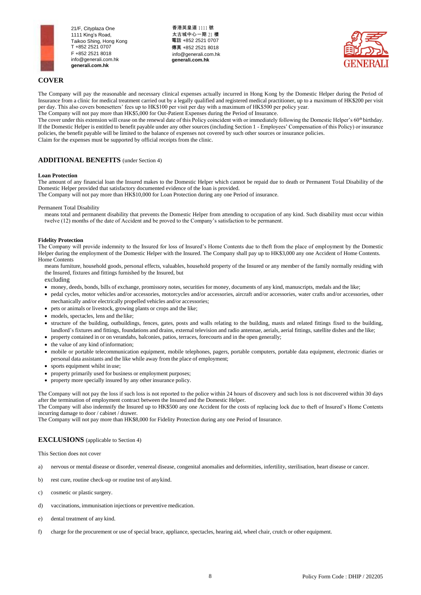

香港英皇道 1111 號 太古城中心一期 21 樓 電話 +852 2521 0707 傳真 +852 2521 8018 [info@generali.com.hk](mailto:info@generali.com.hk) **generali.com.hk**



# **COVER**

The Company will pay the reasonable and necessary clinical expenses actually incurred in Hong Kong by the Domestic Helper during the Period of Insurance from a clinic for medical treatment carried out by a legally qualified and registered medical practitioner, up to a maximum of HK\$200 per visit per day. This also covers bonesetters' fees up to HK\$100 per visit per day with a maximum of HK\$500 per policy year. The Company will not pay more than HK\$5,000 for Out-Patient Expenses during the Period of Insurance.

The cover under this extension will cease on the renewal date of this Policy coincident with or immediately following the Domestic Helper's 60<sup>th</sup> birthday. If the Domestic Helper is entitled to benefit payable under any other sources (including Section 1 - Employees' Compensation of this Policy) or insurance policies, the benefit payable will be limited to the balance of expenses not covered by such other sources or insurance policies. Claim for the expenses must be supported by official receipts from the clinic.

# **ADDITIONAL BENEFITS** (under Section 4)

# **Loan Protection**

The amount of any financial loan the Insured makes to the Domestic Helper which cannot be repaid due to death or Permanent Total Disability of the Domestic Helper provided that satisfactory documented evidence of the loan is provided.

The Company will not pay more than HK\$10,000 for Loan Protection during any one Period of insurance.

Permanent Total Disability

means total and permanent disability that prevents the Domestic Helper from attending to occupation of any kind. Such disability must occur within twelve (12) months of the date of Accident and be proved to the Company's satisfaction to be permanent.

# **Fidelity Protection**

The Company will provide indemnity to the Insured for loss of Insured's Home Contents due to theft from the place of employment by the Domestic Helper during the employment of the Domestic Helper with the Insured. The Company shall pay up to HK\$3,000 any one Accident of Home Contents. Home Contents

means furniture, household goods, personal effects, valuables, household property of the Insured or any member of the family normally residing with the Insured, fixtures and fittings furnished by the Insured, but

excluding

- money, deeds, bonds, bills of exchange, promissory notes, securities for money, documents of any kind, manuscripts, medals and the like;
- pedal cycles, motor vehicles and/or accessories, motorcycles and/or accessories, aircraft and/or accessories, water crafts and/or accessories, other mechanically and/or electrically propelled vehicles and/or accessories;
- pets or animals or livestock, growing plants or crops and the like;
- models, spectacles, lens and the like;
- structure of the building, outbuildings, fences, gates, posts and walls relating to the building, masts and related fittings fixed to the building, landlord's fixtures and fittings, foundations and drains, external television and radio antennae, aerials, aerial fittings, satellite dishes and the like;
- property contained in or on verandahs, balconies, patios, terraces, forecourts and in the open generally;
- the value of any kind ofinformation;
- mobile or portable telecommunication equipment, mobile telephones, pagers, portable computers, portable data equipment, electronic diaries or personal data assistants and the like while away from the place of employment;
- sports equipment whilst in use;
- property primarily used for business or employment purposes;
- property more specially insured by any other insurance policy.

The Company will not pay the loss if such loss is not reported to the police within 24 hours of discovery and such loss is not discovered within 30 days after the termination of employment contract between the Insured and the Domestic Helper.

The Company will also indemnify the Insured up to HK\$500 any one Accident for the costs of replacing lock due to theft of Insured's Home Contents incurring damage to door / cabinet / drawer.

The Company will not pay more than HK\$8,000 for Fidelity Protection during any one Period of Insurance.

# **EXCLUSIONS** (applicable to Section 4)

This Section does not cover

- a) nervous or mental disease or disorder, venereal disease, congenital anomalies and deformities, infertility, sterilisation, heart disease or cancer.
- b) rest cure, routine check-up or routine test of anykind.
- c) cosmetic or plastic surgery.
- d) vaccinations, immunisation injections or preventive medication.
- e) dental treatment of any kind.
- f) charge for the procurement or use of special brace, appliance, spectacles, hearing aid, wheel chair, crutch or other equipment.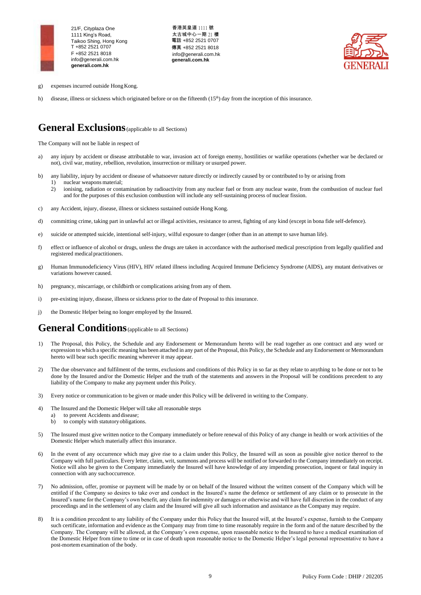

香港英皇道 1111 號 太古城中心一期 21 樓 電話 +852 2521 0707 傳真 +852 2521 8018 [info@generali.com.hk](mailto:info@generali.com.hk) **generali.com.hk**



- g) expenses incurred outside HongKong.
- h) disease, illness or sickness which originated before or on the fifteenth  $(15<sup>th</sup>)$  day from the inception of this insurance.

# **General Exclusions**(applicable to all Sections)

The Company will not be liable in respect of

- a) any injury by accident or disease attributable to war, invasion act of foreign enemy, hostilities or warlike operations (whether war be declared or not), civil war, mutiny, rebellion, revolution, insurrection or military or usurped power.
- b) any liability, injury by accident or disease of whatsoever nature directly or indirectly caused by or contributed to by or arising from 1) nuclear weapons material;
	- 2) ionising, radiation or contamination by radioactivity from any nuclear fuel or from any nuclear waste, from the combustion of nuclear fuel and for the purposes of this exclusion combustion will include any self-sustaining process of nuclear fission.
- c) any Accident, injury, disease, illness or sickness sustained outside Hong Kong.
- d) committing crime, taking part in unlawful act or illegal activities, resistance to arrest, fighting of any kind (except in bona fide self-defence).
- e) suicide or attempted suicide, intentional self-injury, wilful exposure to danger (other than in an attempt to save human life).
- f) effect or influence of alcohol or drugs, unless the drugs are taken in accordance with the authorised medical prescription from legally qualified and registered medical practitioners.
- g) Human Immunodeficiency Virus (HIV), HIV related illness including Acquired Immune Deficiency Syndrome (AIDS), any mutant derivatives or variations however caused.
- h) pregnancy, miscarriage, or childbirth or complications arising from any of them.
- i) pre-existing injury, disease, illness or sickness prior to the date of Proposal to this insurance.
- j) the Domestic Helper being no longer employed by the Insured.

# **General Conditions** (applicable to all Sections)

- 1) The Proposal, this Policy, the Schedule and any Endorsement or Memorandum hereto will be read together as one contract and any word or expression to which a specific meaning has been attached in any part of the Proposal, this Policy, the Schedule and any Endorsement or Memorandum hereto will bear such specific meaning wherever it may appear.
- 2) The due observance and fulfilment of the terms, exclusions and conditions of this Policy in so far as they relate to anything to be done or not to be done by the Insured and/or the Domestic Helper and the truth of the statements and answers in the Proposal will be conditions precedent to any liability of the Company to make any payment under this Policy.
- 3) Every notice or communication to be given or made under this Policy will be delivered in writing to the Company.
- 4) The Insured and the Domestic Helper will take all reasonable steps
	- a) to prevent Accidents and disease;
	- b) to comply with statutoryobligations.
- 5) The Insured must give written notice to the Company immediately or before renewal of this Policy of any change in health or work activities of the Domestic Helper which materially affect this insurance.
- 6) In the event of any occurrence which may give rise to a claim under this Policy, the Insured will as soon as possible give notice thereof to the Company with full particulars. Every letter, claim, writ, summons and process will be notified or forwarded to the Company immediately on receipt. Notice will also be given to the Company immediately the Insured will have knowledge of any impending prosecution, inquest or fatal inquiry in connection with any suchoccurrence.
- 7) No admission, offer, promise or payment will be made by or on behalf of the Insured without the written consent of the Company which will be entitled if the Company so desires to take over and conduct in the Insured's name the defence or settlement of any claim or to prosecute in the Insured's name for the Company's own benefit, any claim for indemnity or damages or otherwise and will have full discretion in the conduct of any proceedings and in the settlement of any claim and the Insured will give all such information and assistance as the Company may require.
- 8) It is a condition precedent to any liability of the Company under this Policy that the Insured will, at the Insured's expense, furnish to the Company such certificate, information and evidence as the Company may from time to time reasonably require in the form and of the nature described by the Company. The Company will be allowed, at the Company's own expense, upon reasonable notice to the Insured to have a medical examination of the Domestic Helper from time to time or in case of death upon reasonable notice to the Domestic Helper's legal personal representative to have a post-mortem examination of the body.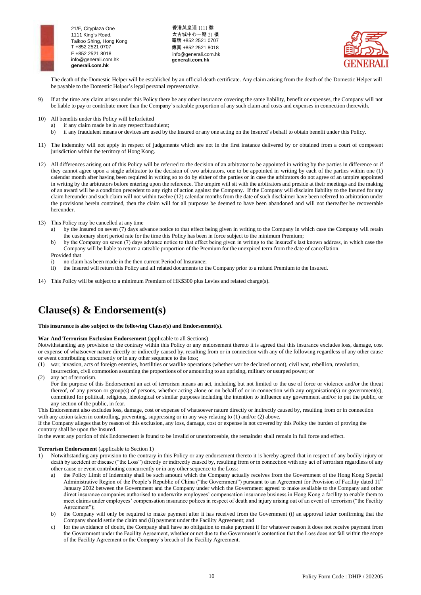

香港英皇道 1111 號 太古城中心一期 21 樓 電話 +852 2521 0707 傳真 +852 2521 8018 [info@generali.com.hk](mailto:info@generali.com.hk) **generali.com.hk**



The death of the Domestic Helper will be established by an official death certificate. Any claim arising from the death of the Domestic Helper will be payable to the Domestic Helper's legal personal representative.

- 9) If at the time any claim arises under this Policy there be any other insurance covering the same liability, benefit or expenses, the Company will not be liable to pay or contribute more than the Company's rateable proportion of any such claim and costs and expenses in connection therewith.
- 10) All benefits under this Policy will beforfeited
	- a) if any claim made be in any respect fraudulent;
	- b) if any fraudulent means or devices are used by the Insured or any one acting on the Insured's behalf to obtain benefit under this Policy.
- 11) The indemnity will not apply in respect of judgements which are not in the first instance delivered by or obtained from a court of competent jurisdiction within the territory of Hong Kong.
- 12) All differences arising out of this Policy will be referred to the decision of an arbitrator to be appointed in writing by the parties in difference or if they cannot agree upon a single arbitrator to the decision of two arbitrators, one to be appointed in writing by each of the parties within one (1) calendar month after having been required in writing so to do by either of the parties or in case the arbitrators do not agree of an umpire appointed in writing by the arbitrators before entering upon the reference. The umpire will sit with the arbitrators and preside at their meetings and the making of an award will be a condition precedent to any right of action against the Company. If the Company will disclaim liability to the Insured for any claim hereunder and such claim will not within twelve (12) calendar months from the date of such disclaimer have been referred to arbitration under the provisions herein contained, then the claim will for all purposes be deemed to have been abandoned and will not thereafter be recoverable hereunder.
- 13) This Policy may be cancelled at any time
	- by the Insured on seven (7) days advance notice to that effect being given in writing to the Company in which case the Company will retain the customary short period rate for the time this Policy has been in force subject to the minimum Premium;
	- b) by the Company on seven (7) days advance notice to that effect being given in writing to the Insured's last known address, in which case the Company will be liable to return a rateable proportion of the Premium for the unexpired term from the date of cancellation.
	- Provided that i) no claim has been made in the then current Period of Insurance;
	- ii) the Insured will return this Policy and all related documents to the Company prior to a refund Premium to the Insured.
- 14) This Policy will be subject to a minimum Premium of HK\$300 plus Levies and related charge(s).

# **Clause(s) & Endorsement(s)**

#### **This insurance is also subject to the following Clause(s) and Endorsement(s).**

## **War And Terrorism Exclusion Endorsement** (applicable to all Sections)

Notwithstanding any provision to the contrary within this Policy or any endorsement thereto it is agreed that this insurance excludes loss, damage, cost or expense of whatsoever nature directly or indirectly caused by, resulting from or in connection with any of the following regardless of any other cause or event contributing concurrently or in any other sequence to the loss;

(1) war, invasion, acts of foreign enemies, hostilities or warlike operations (whether war be declared or not), civil war, rebellion, revolution,

insurrection, civil commotion assuming the proportions of or amounting to an uprising, military or usurped power; or

(2) any act of terrorism.

For the purpose of this Endorsement an act of terrorism means an act, including but not limited to the use of force or violence and/or the threat thereof, of any person or group(s) of persons, whether acting alone or on behalf of or in connection with any organisation(s) or government(s), committed for political, religious, ideological or similar purposes including the intention to influence any government and/or to put the public, or any section of the public, in fear.

This Endorsement also excludes loss, damage, cost or expense of whatsoever nature directly or indirectly caused by, resulting from or in connection with any action taken in controlling, preventing, suppressing or in any way relating to (1) and/or (2) above.

If the Company alleges that by reason of this exclusion, any loss, damage, cost or expense is not covered by this Policy the burden of proving the contrary shall be upon the Insured.

In the event any portion of this Endorsement is found to be invalid or unenforceable, the remainder shall remain in full force and effect.

#### **Terrorism Endorsement** (applicable to Section 1)

- 1) Notwithstanding any provision to the contrary in this Policy or any endorsement thereto it is hereby agreed that in respect of any bodily injury or death by accident or disease ("the Loss") directly or indirectly caused by, resulting from or in connection with any act of terrorism regardless of any other cause or event contributing concurrently or in any other sequence to the Loss:
	- a) the Policy Limit of Indemnity shall be such amount which the Company actually receives from the Government of the Hong Kong Special Administrative Region of the People's Republic of China ("the Government") pursuant to an Agreement for Provision of Facility dated 11<sup>th</sup> January 2002 between the Government and the Company under which the Government agreed to make available to the Company and other direct insurance companies authorised to underwrite employees' compensation insurance business in Hong Kong a facility to enable them to meet claims under employees' compensation insurance polices in respect of death and injury arising out of an event of terrorism ("the Facility Agreement");
	- b) the Company will only be required to make payment after it has received from the Government (i) an approval letter confirming that the Company should settle the claim and (ii) payment under the Facility Agreement; and
	- c) for the avoidance of doubt, the Company shall have no obligation to make payment if for whatever reason it does not receive payment from the Government under the Facility Agreement, whether or not due to the Government's contention that the Loss does not fall within the scope of the Facility Agreement or the Company's breach of the Facility Agreement.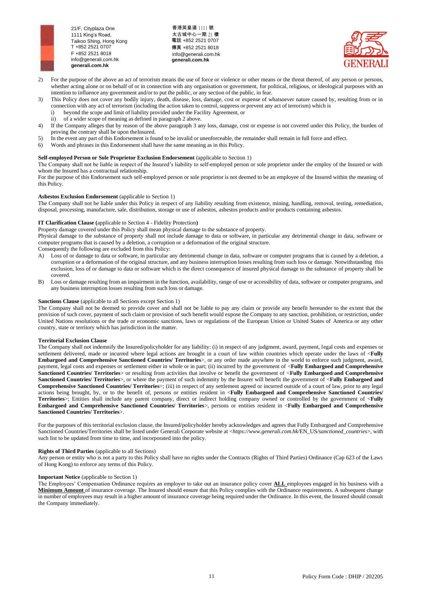

香港英皇道 1111 號 太古城中心一期 21 樓 電話 +852 2521 0707 傳真 +852 2521 8018 [info@generali.com.hk](mailto:info@generali.com.hk) **generali.com.hk**



- 2) For the purpose of the above an act of terrorism means the use of force or violence or other means or the threat thereof, of any person or persons, whether acting alone or on behalf of or in connection with any organisation or government, for political, religious, or ideological purposes with an intention to influence any government and/or to put the public, or any section of the public, in fear.
- 3) This Policy does not cover any bodily injury, death, disease, loss, damage, cost or expense of whatsoever nature caused by, resulting from or in connection with any act of terrorism (including the action taken to control, suppress or prevent any act of terrorism) which is
	- i) beyond the scope and limit of liability provided under the Facility Agreement, or<br>ii) of a wider scope of meaning as defined in paragraph 2 above.
	- of a wider scope of meaning as defined in paragraph 2 above.
- 4) If the Company alleges that by reason of the above paragraph 3 any loss, damage, cost or expense is not covered under this Policy, the burden of proving the contrary shall be upon theInsured.
- 5) In the event any part of this Endorsement is found to be invalid or unenforceable, the remainder shall remain in full force and effect.
- 6) Words and phrases in this Endorsement shall have the same meaning as in this Policy.

# **Self-employed Person or Sole Proprietor Exclusion Endorsement** (applicable to Section 1)

The Company shall not be liable in respect of the Insured's liability to self-employed person or sole proprietor under the employ of the Insured or with whom the Insured has a contractual relationship.

For the purpose of this Endorsement such self-employed person or sole proprietor is not deemed to be an employee of the Insured within the meaning of this Policy.

#### **Asbestos Exclusion Endorsement** (applicable to Section 1)

The Company shall not be liable under this Policy in respect of any liability resulting from existence, mining, handling, removal, testing, remediation, disposal, processing, manufacture, sale, distribution, storage or use of asbestos, asbestos products and/or products containing asbestos.

#### **IT Clarification Clause (**applicable to Section 4 - Fidelity Protection**)**

Property damage covered under this Policy shall mean physical damage to the substance of property.

Physical damage to the substance of property shall not include damage to data or software, in particular any detrimental change in data, software or computer programs that is caused by a deletion, a corruption or a deformation of the original structure.

Consequently the following are excluded from this Policy:

- A) Loss of or damage to data or software, in particular any detrimental change in data, software or computer programs that is caused by a deletion, a corruption or a deformation of the original structure, and any business interruption losses resulting from such loss or damage. Notwithstanding this exclusion, loss of or damage to data or software which is the direct consequence of insured physical damage to the substance of property shall be covered.
- B) Loss or damage resulting from an impairment in the function, availability, range of use or accessibility of data, software or computer programs, and any business interruption losses resulting from such loss or damage.

#### **Sanctions Clause** (applicable to all Sections except Section 1)

The Company shall not be deemed to provide cover and shall not be liable to pay any claim or provide any benefit hereunder to the extent that the provision of such cover, payment of such claim or provision of such benefit would expose the Company to any sanction, prohibition, or restriction, under United Nations resolutions or the trade or economic sanctions, laws or regulations of the European Union or United States of America or any other country, state or territory which has jurisdiction in the matter.

#### **Territorial Exclusion Clause**

The Company shall not indemnify the Insured/policyholder for any liability: (i) in respect of any judgment, award, payment, legal costs and expenses or settlement delivered, made or incurred where legal actions are brought in a court of law within countries which operate under the laws of <**Fully Embargoed and Comprehensive Sanctioned Countries/ Territories**>, or any order made anywhere in the world to enforce such judgment, award, payment, legal costs and expenses or settlement either in whole or in part; (ii) incurred by the government of <**Fully Embargoed and Comprehensive Sanctioned Countries/ Territories**> or resulting from activities that involve or benefit the government of <**Fully Embargoed and Comprehensive Sanctioned Countries/ Territories**>, or where the payment of such indemnity by the Insurer will benefit the government of <**Fully Embargoed and Comprehensive Sanctioned Countries/ Territories**>; (iii) in respect of any settlement agreed or incurred outside of a court of law, prior to any legal actions being brought, by, or to the benefit of, persons or entities resident in <**Fully Embargoed and Comprehensive Sanctioned Countries/ Territories**>; Entities shall include any parent company, direct or indirect holding company owned or controlled by the government of <**Fully Embargoed and Comprehensive Sanctioned Countries/ Territories**>, persons or entities resident in <**Fully Embargoed and Comprehensive Sanctioned Countries/ Territories**>.

For the purposes of this territorial exclusion clause, the Insured/policyholder hereby acknowledges and agrees that Fully Embargoed and Comprehensive Sanctioned Countries/Territories shall be listed under Generali Corporate website at <*https://www.generali.com.hk/*EN*\_*US*/sanctioned\_countries*>, with such list to be updated from time to time, and incorporated into the policy.

### **Rights of Third Parties** (applicable to all Sections)

Any person or entity who is not a party to this Policy shall have no rights under the Contracts (Rights of Third Parties) Ordinance (Cap 623 of the Laws of Hong Kong) to enforce any terms of this Policy.

### **Important Notice** (applicable to Section 1)

The Employees' Compensation Ordinance requires an employer to take out an insurance policy cover **ALL** employees engaged in his business with a **Minimum Amount** of insurance coverage. The Insured should ensure that this Policy complies with the Ordinance requirements. A subsequent change in number of employees may result in a higher amount of insurance coverage being required under the Ordinance. In this event, the Insured should consult the Company immediately.